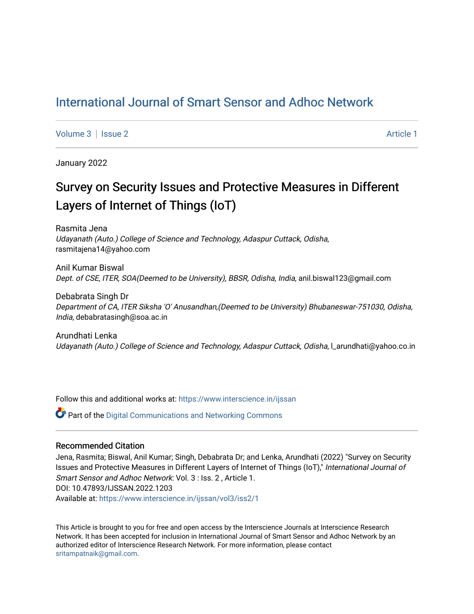## [International Journal of Smart Sensor and Adhoc Network](https://www.interscience.in/ijssan)

[Volume 3](https://www.interscience.in/ijssan/vol3) | [Issue 2](https://www.interscience.in/ijssan/vol3/iss2) Article 1

January 2022

# Survey on Security Issues and Protective Measures in Different Layers of Internet of Things (IoT)

Rasmita Jena Udayanath (Auto.) College of Science and Technology, Adaspur Cuttack, Odisha, rasmitajena14@yahoo.com

Anil Kumar Biswal Dept. of CSE, ITER, SOA(Deemed to be University), BBSR, Odisha, India, anil.biswal123@gmail.com

Debabrata Singh Dr Department of CA, ITER Siksha 'O' Anusandhan,(Deemed to be University) Bhubaneswar-751030, Odisha, India, debabratasingh@soa.ac.in

Arundhati Lenka Udayanath (Auto.) College of Science and Technology, Adaspur Cuttack, Odisha, l\_arundhati@yahoo.co.in

Follow this and additional works at: [https://www.interscience.in/ijssan](https://www.interscience.in/ijssan?utm_source=www.interscience.in%2Fijssan%2Fvol3%2Fiss2%2F1&utm_medium=PDF&utm_campaign=PDFCoverPages) 

 $\bullet$  Part of the Digital Communications and Networking Commons

#### Recommended Citation

Jena, Rasmita; Biswal, Anil Kumar; Singh, Debabrata Dr; and Lenka, Arundhati (2022) "Survey on Security Issues and Protective Measures in Different Layers of Internet of Things (IoT)," International Journal of Smart Sensor and Adhoc Network: Vol. 3 : Iss. 2 , Article 1. DOI: 10.47893/IJSSAN.2022.1203 Available at: [https://www.interscience.in/ijssan/vol3/iss2/1](https://www.interscience.in/ijssan/vol3/iss2/1?utm_source=www.interscience.in%2Fijssan%2Fvol3%2Fiss2%2F1&utm_medium=PDF&utm_campaign=PDFCoverPages) 

This Article is brought to you for free and open access by the Interscience Journals at Interscience Research Network. It has been accepted for inclusion in International Journal of Smart Sensor and Adhoc Network by an authorized editor of Interscience Research Network. For more information, please contact [sritampatnaik@gmail.com](mailto:sritampatnaik@gmail.com).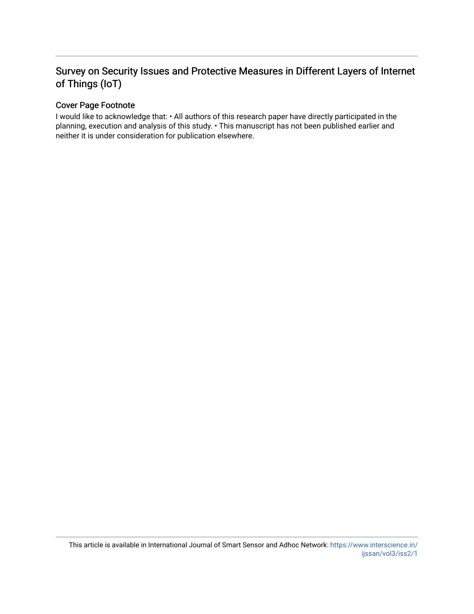## Survey on Security Issues and Protective Measures in Different Layers of Internet of Things (IoT)

### Cover Page Footnote

I would like to acknowledge that: • All authors of this research paper have directly participated in the planning, execution and analysis of this study. • This manuscript has not been published earlier and neither it is under consideration for publication elsewhere.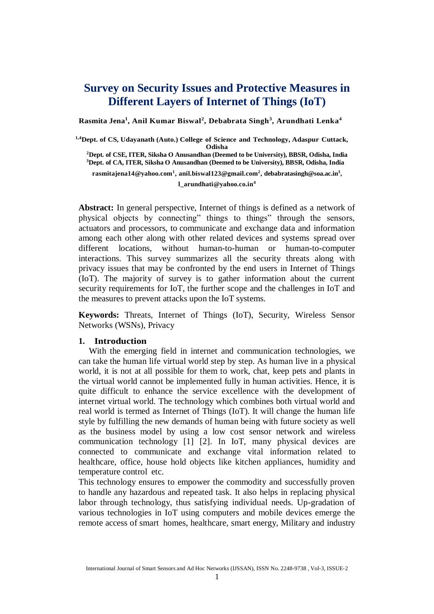## **Survey on Security Issues and Protective Measures in Different Layers of Internet of Things (IoT)**

**Rasmita Jena<sup>1</sup> , Anil Kumar Biswal<sup>2</sup> , Debabrata Singh<sup>3</sup> , Arundhati Lenka<sup>4</sup>**

 **1,4Dept. of CS, Udayanath (Auto.) College of Science and Technology, Adaspur Cuttack, Odisha <sup>2</sup>Dept. of CSE, ITER, Siksha O Anusandhan (Deemed to be University), BBSR, Odisha, India <sup>3</sup>Dept. of CA, ITER, Siksha O Anusandhan (Deemed to be University), BBSR, Odisha, India rasmitajena14@yahoo.com<sup>1</sup> , anil.biswal123@gmail.com<sup>2</sup> , debabratasingh@soa.ac.in<sup>3</sup> ,** 

**l\_arundhati@yahoo.co.in<sup>4</sup>**

**Abstract:** In general perspective, Internet of things is defined as a network of physical objects by connecting" things to things" through the sensors, actuators and processors, to communicate and exchange data and information among each other along with other related devices and systems spread over different locations, without human-to-human or human-to-computer interactions. This survey summarizes all the security threats along with privacy issues that may be confronted by the end users in Internet of Things (IoT). The majority of survey is to gather information about the current security requirements for IoT, the further scope and the challenges in IoT and the measures to prevent attacks upon the IoT systems.

**Keywords:** Threats, Internet of Things (IoT), Security, Wireless Sensor Networks (WSNs), Privacy

#### **1. Introduction**

With the emerging field in internet and communication technologies, we can take the human life virtual world step by step. As human live in a physical world, it is not at all possible for them to work, chat, keep pets and plants in the virtual world cannot be implemented fully in human activities. Hence, it is quite difficult to enhance the service excellence with the development of internet virtual world. The technology which combines both virtual world and real world is termed as Internet of Things (IoT). It will change the human life style by fulfilling the new demands of human being with future society as well as the business model by using a low cost sensor network and wireless communication technology [1] [2]. In IoT, many physical devices are connected to communicate and exchange vital information related to healthcare, office, house hold objects like kitchen appliances, humidity and temperature control etc.

This technology ensures to empower the commodity and successfully proven to handle any hazardous and repeated task. It also helps in replacing physical labor through technology, thus satisfying individual needs. Up-gradation of various technologies in IoT using computers and mobile devices emerge the remote access of smart homes, healthcare, smart energy, Military and industry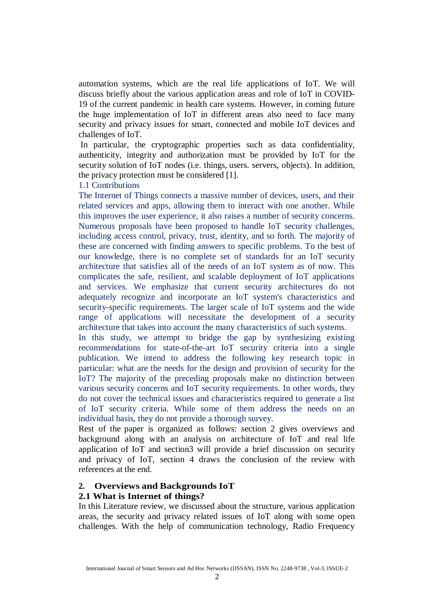automation systems, which are the real life applications of IoT. We will discuss briefly about the various application areas and role of IoT in COVID-19 of the current pandemic in health care systems. However, in coming future the huge implementation of IoT in different areas also need to face many security and privacy issues for smart, connected and mobile IoT devices and challenges of IoT.

In particular, the cryptographic properties such as data confidentiality, authenticity, integrity and authorization must be provided by IoT for the security solution of IoT nodes (i.e. things, users. servers, objects). In addition, the privacy protection must be considered [1].

1.1 Contributions

The Internet of Things connects a massive number of devices, users, and their related services and apps, allowing them to interact with one another. While this improves the user experience, it also raises a number of security concerns. Numerous proposals have been proposed to handle IoT security challenges, including access control, privacy, trust, identity, and so forth. The majority of these are concerned with finding answers to specific problems. To the best of our knowledge, there is no complete set of standards for an IoT security architecture that satisfies all of the needs of an IoT system as of now. This complicates the safe, resilient, and scalable deployment of IoT applications and services. We emphasize that current security architectures do not adequately recognize and incorporate an IoT system's characteristics and security-specific requirements. The larger scale of IoT systems and the wide range of applications will necessitate the development of a security architecture that takes into account the many characteristics of such systems.

In this study, we attempt to bridge the gap by synthesizing existing recommendations for state-of-the-art IoT security criteria into a single publication. We intend to address the following key research topic in particular: what are the needs for the design and provision of security for the IoT? The majority of the preceding proposals make no distinction between various security concerns and IoT security requirements. In other words, they do not cover the technical issues and characteristics required to generate a list of IoT security criteria. While some of them address the needs on an individual basis, they do not provide a thorough survey.

Rest of the paper is organized as follows: section 2 gives overviews and background along with an analysis on architecture of IoT and real life application of IoT and section3 will provide a brief discussion on security and privacy of IoT, section 4 draws the conclusion of the review with references at the end.

#### **2. Overviews and Backgrounds IoT**

#### **2.1 What is Internet of things?**

In this Literature review, we discussed about the structure, various application areas, the security and privacy related issues of IoT along with some open challenges. With the help of communication technology, Radio Frequency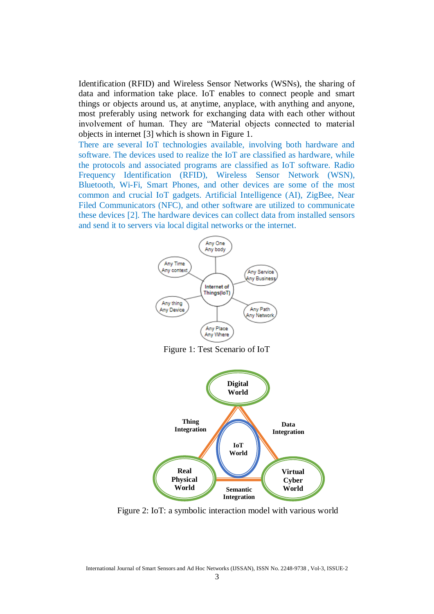Identification (RFID) and Wireless Sensor Networks (WSNs), the sharing of data and information take place. IoT enables to connect people and smart things or objects around us, at anytime, anyplace, with anything and anyone, most preferably using network for exchanging data with each other without involvement of human. They are "Material objects connected to material objects in internet [3] which is shown in Figure 1.

There are several IoT technologies available, involving both hardware and software. The devices used to realize the IoT are classified as hardware, while the protocols and associated programs are classified as IoT software. Radio Frequency Identification (RFID), Wireless Sensor Network (WSN), Bluetooth, Wi-Fi, Smart Phones, and other devices are some of the most common and crucial IoT gadgets. Artificial Intelligence (AI), ZigBee, Near Filed Communicators (NFC), and other software are utilized to communicate these devices [2]. The hardware devices can collect data from installed sensors and send it to servers via local digital networks or the internet.



Figure 1: Test Scenario of IoT



Figure 2: IoT: a symbolic interaction model with various world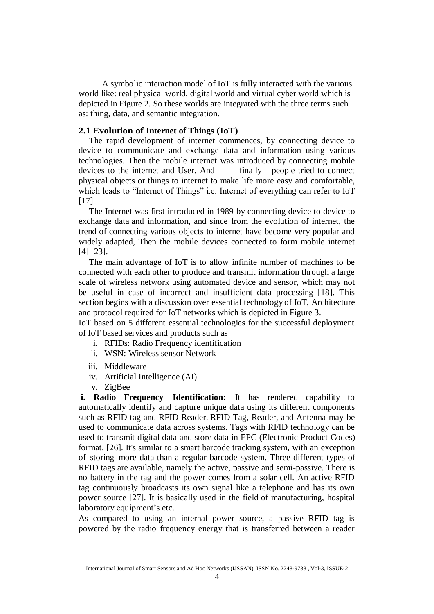A symbolic interaction model of IoT is fully interacted with the various world like: real physical world, digital world and virtual cyber world which is depicted in Figure 2. So these worlds are integrated with the three terms such as: thing, data, and semantic integration.

#### **2.1 Evolution of Internet of Things (IoT)**

The rapid development of internet commences, by connecting device to device to communicate and exchange data and information using various technologies. Then the mobile internet was introduced by connecting mobile devices to the internet and User. And finally people tried to connect physical objects or things to internet to make life more easy and comfortable, which leads to "Internet of Things" i.e. Internet of everything can refer to IoT [17].

The Internet was first introduced in 1989 by connecting device to device to exchange data and information, and since from the evolution of internet, the trend of connecting various objects to internet have become very popular and widely adapted, Then the mobile devices connected to form mobile internet [4] [23].

The main advantage of IoT is to allow infinite number of machines to be connected with each other to produce and transmit information through a large scale of wireless network using automated device and sensor, which may not be useful in case of incorrect and insufficient data processing [18]. This section begins with a discussion over essential technology of IoT, Architecture and protocol required for IoT networks which is depicted in Figure 3.

IoT based on 5 different essential technologies for the successful deployment of IoT based services and products such as

- i. RFIDs: Radio Frequency identification
- ii. WSN: Wireless sensor Network
- iii. Middleware
- iv. Artificial Intelligence (AI)
- v. ZigBee

**i. Radio Frequency Identification:** It has rendered capability to automatically identify and capture unique data using its different components such as RFID tag and RFID Reader. RFID Tag, Reader, and Antenna may be used to communicate data across systems. Tags with RFID technology can be used to transmit digital data and store data in EPC (Electronic Product Codes) format. [26]. It's similar to a smart barcode tracking system, with an exception of storing more data than a regular barcode system. Three different types of RFID tags are available, namely the active, passive and semi-passive. There is no battery in the tag and the power comes from a solar cell. An active RFID tag continuously broadcasts its own signal like a telephone and has its own power source [27]. It is basically used in the field of manufacturing, hospital laboratory equipment's etc.

As compared to using an internal power source, a passive RFID tag is powered by the radio frequency energy that is transferred between a reader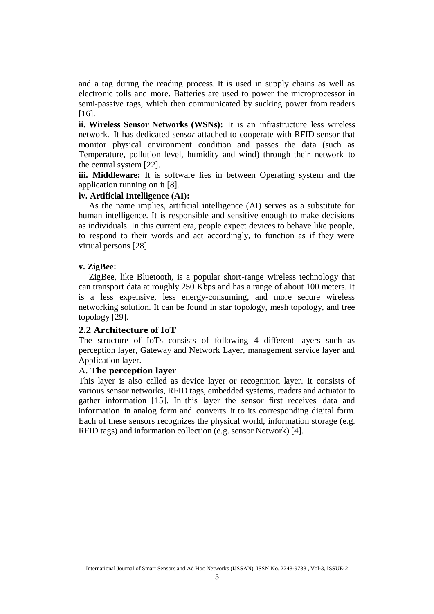and a tag during the reading process. It is used in supply chains as well as electronic tolls and more. Batteries are used to power the microprocessor in semi-passive tags, which then communicated by sucking power from readers [16].

**ii. Wireless Sensor Networks (WSNs):** It is an infrastructure less wireless network. It has dedicated sen*sor* attached to cooperate with RFID sensor that monitor physical environment condition and passes the data (such as Temperature, pollution level, humidity and wind) through their network to the central system [22].

**iii. Middleware:** It is software lies in between Operating system and the application running on it [8].

#### **iv. Artificial Intelligence (AI):**

As the name implies, artificial intelligence (AI) serves as a substitute for human intelligence. It is responsible and sensitive enough to make decisions as individuals. In this current era, people expect devices to behave like people, to respond to their words and act accordingly, to function as if they were virtual persons [28].

#### **v. ZigBee:**

ZigBee, like Bluetooth, is a popular short-range wireless technology that can transport data at roughly 250 Kbps and has a range of about 100 meters. It is a less expensive, less energy-consuming, and more secure wireless networking solution. It can be found in star topology, mesh topology, and tree topology [29].

#### **2.2 Architecture of IoT**

The structure of IoTs consists of following 4 different layers such as perception layer, Gateway and Network Layer, management service layer and Application layer.

## A. **The perception layer**

This layer is also called as device layer or recognition layer. It consists of various sensor networks, RFID tags, embedded systems, readers and actuator to gather information [15]. In this layer the sensor first receives data and information in analog form and converts it to its corresponding digital form. Each of these sensors recognizes the physical world, information storage (e.g. RFID tags) and information collection (e.g. sensor Network) [4].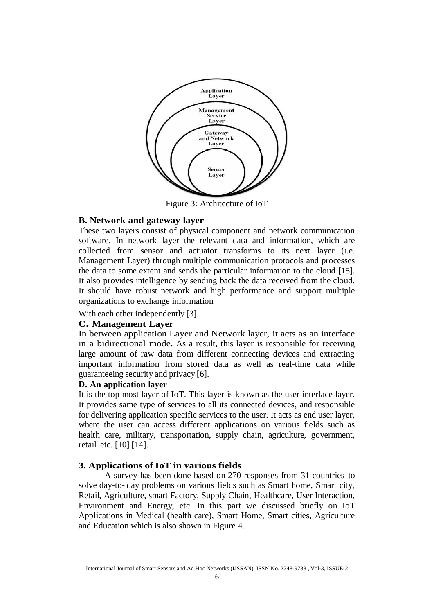

Figure 3: Architecture of IoT

#### **B. Network and gateway layer**

These two layers consist of physical component and network communication software. In network layer the relevant data and information, which are collected from sensor and actuator transforms to its next layer (i.e. Management Layer) through multiple communication protocols and processes the data to some extent and sends the particular information to the cloud [15]. It also provides intelligence by sending back the data received from the cloud. It should have robust network and high performance and support multiple organizations to exchange information

With each other independently [3].

#### **C. Management Layer**

In between application Layer and Network layer, it acts as an interface in a bidirectional mode. As a result, this layer is responsible for receiving large amount of raw data from different connecting devices and extracting important information from stored data as well as real-time data while guaranteeing security and privacy [6].

#### **D. An application layer**

It is the top most layer of IoT. This layer is known as the user interface layer. It provides same type of services to all its connected devices, and responsible for delivering application specific services to the user. It acts as end user layer, where the user can access different applications on various fields such as health care, military, transportation, supply chain, agriculture, government, retail etc. [10] [14].

#### **3. Applications of IoT in various fields**

A survey has been done based on 270 responses from 31 countries to solve day-to- day problems on various fields such as Smart home, Smart city, Retail, Agriculture, smart Factory, Supply Chain, Healthcare, User Interaction, Environment and Energy, etc. In this part we discussed briefly on IoT Applications in Medical (health care), Smart Home, Smart cities, Agriculture and Education which is also shown in Figure 4.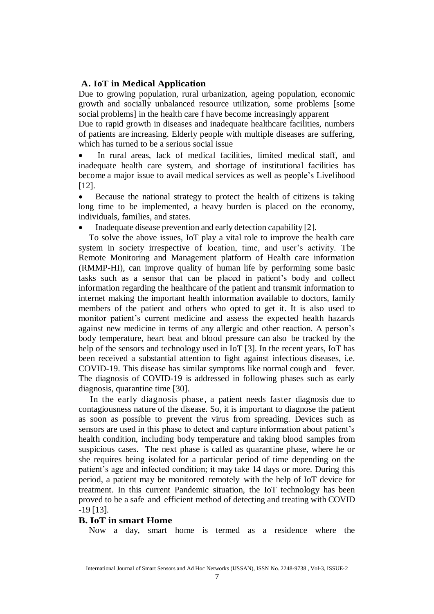#### **A. IoT in Medical Application**

Due to growing population, rural urbanization, ageing population, economic growth and socially unbalanced resource utilization, some problems [some social problems] in the health care f have become increasingly apparent

Due to rapid growth in diseases and inadequate healthcare facilities, numbers of patients are increasing. Elderly people with multiple diseases are suffering, which has turned to be a serious social issue

 In rural areas, lack of medical facilities, limited medical staff, and inadequate health care system, and shortage of institutional facilities has become a major issue to avail medical services as well as people's Livelihood [12].

 Because the national strategy to protect the health of citizens is taking long time to be implemented, a heavy burden is placed on the economy, individuals, families, and states.

Inadequate disease prevention and early detection capability [2].

To solve the above issues, IoT play a vital role to improve the health care system in society irrespective of location, time, and user's activity. The Remote Monitoring and Management platform of Health care information (RMMP-HI), can improve quality of human life by performing some basic tasks such as a sensor that can be placed in patient's body and collect information regarding the healthcare of the patient and transmit information to internet making the important health information available to doctors, family members of the patient and others who opted to get it. It is also used to monitor patient's current medicine and assess the expected health hazards against new medicine in terms of any allergic and other reaction. A person's body temperature, heart beat and blood pressure can also be tracked by the help of the sensors and technology used in IoT [3]. In the recent years, IoT has been received a substantial attention to fight against infectious diseases, i.e. COVID-19. This disease has similar symptoms like normal cough and fever. The diagnosis of COVID-19 is addressed in following phases such as early diagnosis, quarantine time [30].

In the early diagnosis phase, a patient needs faster diagnosis due to contagiousness nature of the disease. So, it is important to diagnose the patient as soon as possible to prevent the virus from spreading. Devices such as sensors are used in this phase to detect and capture information about patient's health condition, including body temperature and taking blood samples from suspicious cases. The next phase is called as quarantine phase, where he or she requires being isolated for a particular period of time depending on the patient's age and infected condition; it may take 14 days or more. During this period, a patient may be monitored remotely with the help of IoT device for treatment. In this current Pandemic situation, the IoT technology has been proved to be a safe and efficient method of detecting and treating with COVID -19 [13].

#### **B. IoT in smart Home**

Now a day, smart home is termed as a residence where the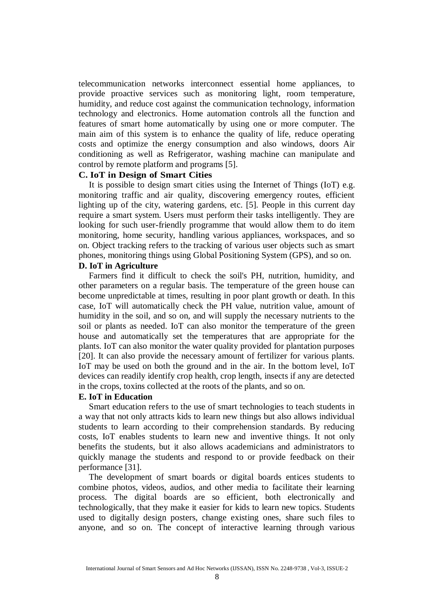telecommunication networks interconnect essential home appliances, to provide proactive services such as monitoring light, room temperature, humidity, and reduce cost against the communication technology, information technology and electronics. Home automation controls all the function and features of smart home automatically by using one or more computer. The main aim of this system is to enhance the quality of life, reduce operating costs and optimize the energy consumption and also windows, doors Air conditioning as well as Refrigerator, washing machine can manipulate and control by remote platform and programs [5].

#### **C. IoT in Design of Smart Cities**

It is possible to design smart cities using the Internet of Things (IoT) e.g. monitoring traffic and air quality, discovering emergency routes, efficient lighting up of the city, watering gardens, etc. [5]. People in this current day require a smart system. Users must perform their tasks intelligently. They are looking for such user-friendly programme that would allow them to do item monitoring, home security, handling various appliances, workspaces, and so on. Object tracking refers to the tracking of various user objects such as smart phones, monitoring things using Global Positioning System (GPS), and so on. **D. IoT in Agriculture**

## Farmers find it difficult to check the soil's PH, nutrition, humidity, and other parameters on a regular basis. The temperature of the green house can become unpredictable at times, resulting in poor plant growth or death. In this case, IoT will automatically check the PH value, nutrition value, amount of humidity in the soil, and so on, and will supply the necessary nutrients to the soil or plants as needed. IoT can also monitor the temperature of the green house and automatically set the temperatures that are appropriate for the plants. IoT can also monitor the water quality provided for plantation purposes [20]. It can also provide the necessary amount of fertilizer for various plants. IoT may be used on both the ground and in the air. In the bottom level, IoT devices can readily identify crop health, crop length, insects if any are detected in the crops, toxins collected at the roots of the plants, and so on.

#### **E. IoT in Education**

Smart education refers to the use of smart technologies to teach students in a way that not only attracts kids to learn new things but also allows individual students to learn according to their comprehension standards. By reducing costs, IoT enables students to learn new and inventive things. It not only benefits the students, but it also allows academicians and administrators to quickly manage the students and respond to or provide feedback on their performance [31].

The development of smart boards or digital boards entices students to combine photos, videos, audios, and other media to facilitate their learning process. The digital boards are so efficient, both electronically and technologically, that they make it easier for kids to learn new topics. Students used to digitally design posters, change existing ones, share such files to anyone, and so on. The concept of interactive learning through various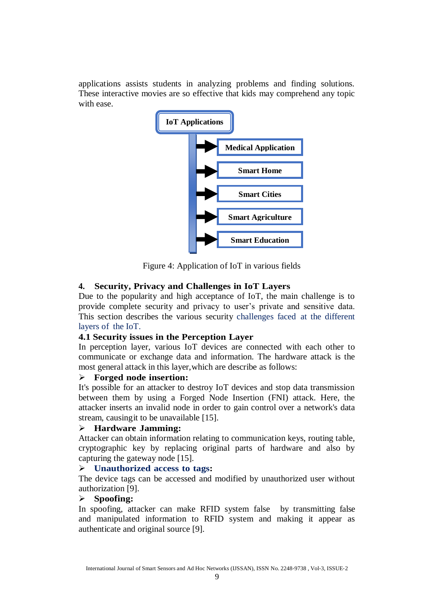applications assists students in analyzing problems and finding solutions. These interactive movies are so effective that kids may comprehend any topic with ease.



Figure 4: Application of IoT in various fields

## **4. Security, Privacy and Challenges in IoT Layers**

Due to the popularity and high acceptance of IoT, the main challenge is to provide complete security and privacy to user's private and sensitive data. This section describes the various security challenges faced at the different layers of the IoT.

## **4.1 Security issues in the Perception Layer**

In perception layer, various IoT devices are connected with each other to communicate or exchange data and information. The hardware attack is the most general attack in this layer,which are describe as follows:

### **Forged node insertion:**

It's possible for an attacker to destroy IoT devices and stop data transmission between them by using a Forged Node Insertion (FNI) attack. Here, the attacker inserts an invalid node in order to gain control over a network's data stream, causingit to be unavailable [15].

## **Hardware Jamming:**

Attacker can obtain information relating to communication keys, routing table, cryptographic key by replacing original parts of hardware and also by capturing the gateway node [15].

## **Unauthorized access to tags:**

The device tags can be accessed and modified by unauthorized user without authorization [9].

## **Spoofing:**

In spoofing, attacker can make RFID system false by transmitting false and manipulated information to RFID system and making it appear as authenticate and original source [9].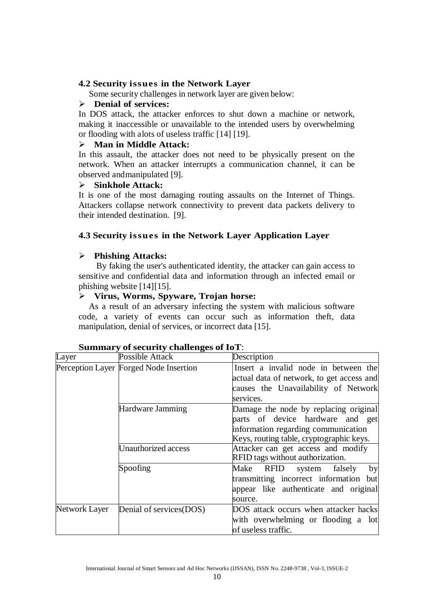## **4.2 Security issues in the Network Layer**

Some security challenges in network layer are given below:

## **Denial of services:**

In DOS attack, the attacker enforces to shut down a machine or network, making it inaccessible or unavailable to the intended users by overwhelming or flooding with alots of useless traffic [14] [19].

## **Man in Middle Attack:**

In this assault, the attacker does not need to be physically present on the network. When an attacker interrupts a communication channel, it can be observed andmanipulated [9].

### **Sinkhole Attack:**

It is one of the most damaging routing assaults on the Internet of Things. Attackers collapse network connectivity to prevent data packets delivery to their intended destination. [9].

## **4.3 Security issues in the Network Layer Application Layer**

## **Phishing Attacks:**

By faking the user's authenticated identity, the attacker can gain access to sensitive and confidential data and information through an infected email or phishing website [14][15].

## **Virus, Worms, Spyware, Trojan horse:**

As a result of an adversary infecting the system with malicious software code, a variety of events can occur such as information theft, data manipulation, denial of services, or incorrect data [15].

| Layer         | Possible Attack                        | Description                                                                                                                                                  |
|---------------|----------------------------------------|--------------------------------------------------------------------------------------------------------------------------------------------------------------|
|               | Perception Layer Forged Node Insertion | Insert a invalid node in between the<br>actual data of network, to get access and                                                                            |
|               |                                        | causes the Unavailability of Network<br>services.                                                                                                            |
|               | Hardware Jamming                       | Damage the node by replacing original<br>parts of device hardware and get<br>information regarding communication<br>Keys, routing table, cryptographic keys. |
|               | Unauthorized access                    | Attacker can get access and modify<br>RFID tags without authorization.                                                                                       |
|               | Spoofing                               | Make RFID system falsely<br>by<br>transmitting incorrect information but<br>appear like authenticate and original<br>source.                                 |
| Network Layer | Denial of services(DOS)                | DOS attack occurs when attacker hacks<br>with overwhelming or flooding a lot<br>of useless traffic.                                                          |

## **Summary ofsecurity challenges of IoT**: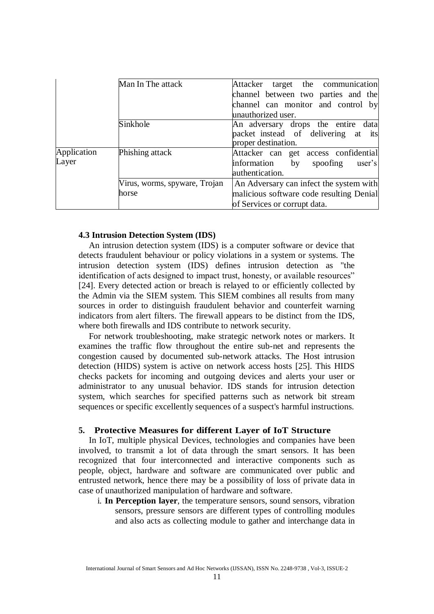|                      | Man In The attack             | Attacker target the communication        |
|----------------------|-------------------------------|------------------------------------------|
|                      |                               | channel between two parties and the      |
|                      |                               | channel can monitor and control by       |
|                      |                               | unauthorized user.                       |
|                      | Sinkhole                      | An adversary drops the entire data       |
|                      |                               | packet instead of delivering at its      |
|                      |                               | proper destination.                      |
| Application<br>Layer | Phishing attack               | Attacker can get access confidential     |
|                      |                               | information<br>by<br>spoofing<br>user's  |
|                      |                               | authentication.                          |
|                      | Virus, worms, spyware, Trojan | An Adversary can infect the system with  |
|                      | horse                         | malicious software code resulting Denial |
|                      |                               | of Services or corrupt data.             |

#### **4.3 Intrusion Detection System (IDS)**

An intrusion detection system (IDS) is a computer software or device that detects fraudulent behaviour or policy violations in a system or systems. The intrusion detection system (IDS) defines intrusion detection as "the identification of acts designed to impact trust, honesty, or available resources" [24]. Every detected action or breach is relayed to or efficiently collected by the Admin via the SIEM system. This SIEM combines all results from many sources in order to distinguish fraudulent behavior and counterfeit warning indicators from alert filters. The firewall appears to be distinct from the IDS, where both firewalls and IDS contribute to network security.

For network troubleshooting, make strategic network notes or markers. It examines the traffic flow throughout the entire sub-net and represents the congestion caused by documented sub-network attacks. The Host intrusion detection (HIDS) system is active on network access hosts [25]. This HIDS checks packets for incoming and outgoing devices and alerts your user or administrator to any unusual behavior. IDS stands for intrusion detection system, which searches for specified patterns such as network bit stream sequences or specific excellently sequences of a suspect's harmful instructions.

#### **5. Protective Measures for different Layer of IoT Structure**

In IoT, multiple physical Devices, technologies and companies have been involved, to transmit a lot of data through the smart sensors. It has been recognized that four interconnected and interactive components such as people, object, hardware and software are communicated over public and entrusted network, hence there may be a possibility of loss of private data in case of unauthorized manipulation of hardware and software.

i. **In Perception layer**, the temperature sensors, sound sensors, vibration sensors, pressure sensors are different types of controlling modules and also acts as collecting module to gather and interchange data in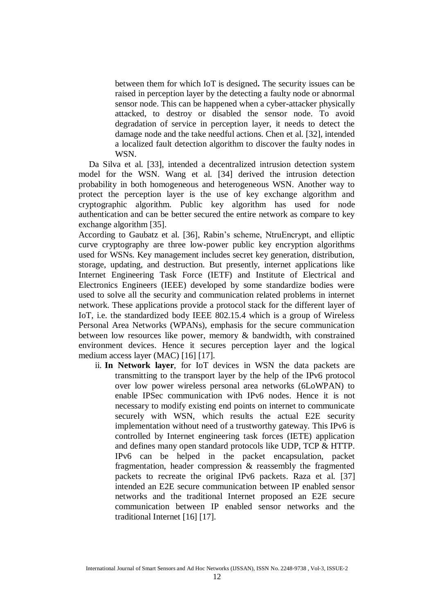between them for which IoT is designed**.** The security issues can be raised in perception layer by the detecting a faulty node or abnormal sensor node. This can be happened when a cyber-attacker physically attacked, to destroy or disabled the sensor node. To avoid degradation of service in perception layer, it needs to detect the damage node and the take needful actions. Chen et al. [32], intended a localized fault detection algorithm to discover the faulty nodes in WSN.

Da Silva et al. [33], intended a decentralized intrusion detection system model for the WSN. Wang et al. [34] derived the intrusion detection probability in both homogeneous and heterogeneous WSN. Another way to protect the perception layer is the use of key exchange algorithm and cryptographic algorithm. Public key algorithm has used for node authentication and can be better secured the entire network as compare to key exchange algorithm [35].

According to Gaubatz et al. [36], Rabin's scheme, NtruEncrypt, and elliptic curve cryptography are three low-power public key encryption algorithms used for WSNs. Key management includes secret key generation, distribution, storage, updating, and destruction. But presently, internet applications like Internet Engineering Task Force (IETF) and Institute of Electrical and Electronics Engineers (IEEE) developed by some standardize bodies were used to solve all the security and communication related problems in internet network. These applications provide a protocol stack for the different layer of IoT, i.e. the standardized body IEEE 802.15.4 which is a group of Wireless Personal Area Networks (WPANs), emphasis for the secure communication between low resources like power, memory & bandwidth, with constrained environment devices. Hence it secures perception layer and the logical medium access layer (MAC) [16] [17].

ii. **In Network layer**, for IoT devices in WSN the data packets are transmitting to the transport layer by the help of the IPv6 protocol over low power wireless personal area networks (6LoWPAN) to enable IPSec communication with IPv6 nodes. Hence it is not necessary to modify existing end points on internet to communicate securely with WSN, which results the actual E2E security implementation without need of a trustworthy gateway. This IPv6 is controlled by Internet engineering task forces (IETE) application and defines many open standard protocols like UDP, TCP & HTTP. IPv6 can be helped in the packet encapsulation, packet fragmentation, header compression & reassembly the fragmented packets to recreate the original IPv6 packets. Raza et al. [37] intended an E2E secure communication between IP enabled sensor networks and the traditional Internet proposed an E2E secure communication between IP enabled sensor networks and the traditional Internet [16] [17].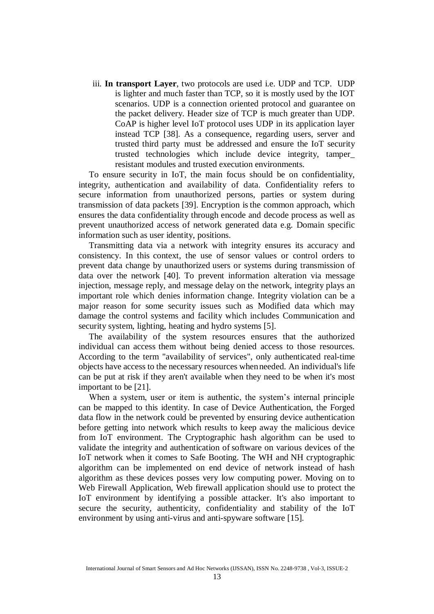iii. **In transport Layer**, two protocols are used i.e. UDP and TCP. UDP is lighter and much faster than TCP, so it is mostly used by the IOT scenarios. UDP is a connection oriented protocol and guarantee on the packet delivery. Header size of TCP is much greater than UDP. CoAP is higher level IoT protocol uses UDP in its application layer instead TCP [38]. As a consequence, regarding users, server and trusted third party must be addressed and ensure the IoT security trusted technologies which include device integrity, tamper\_ resistant modules and trusted execution environments.

To ensure security in IoT, the main focus should be on confidentiality, integrity, authentication and availability of data. Confidentiality refers to secure information from unauthorized persons, parties or system during transmission of data packets [39]. Encryption is the common approach, which ensures the data confidentiality through encode and decode process as well as prevent unauthorized access of network generated data e.g. Domain specific information such as user identity, positions.

Transmitting data via a network with integrity ensures its accuracy and consistency. In this context, the use of sensor values or control orders to prevent data change by unauthorized users or systems during transmission of data over the network [40]. To prevent information alteration via message injection, message reply, and message delay on the network, integrity plays an important role which denies information change. Integrity violation can be a major reason for some security issues such as Modified data which may damage the control systems and facility which includes Communication and security system, lighting, heating and hydro systems [5].

The availability of the system resources ensures that the authorized individual can access them without being denied access to those resources. According to the term "availability of services", only authenticated real-time objects have access to the necessary resources whenneeded. An individual's life can be put at risk if they aren't available when they need to be when it's most important to be [21].

When a system, user or item is authentic, the system's internal principle can be mapped to this identity. In case of Device Authentication, the Forged data flow in the network could be prevented by ensuring device authentication before getting into network which results to keep away the malicious device from IoT environment. The Cryptographic hash algorithm can be used to validate the integrity and authentication of software on various devices of the IoT network when it comes to Safe Booting. The WH and NH cryptographic algorithm can be implemented on end device of network instead of hash algorithm as these devices posses very low computing power. Moving on to Web Firewall Application, Web firewall application should use to protect the IoT environment by identifying a possible attacker. It's also important to secure the security, authenticity, confidentiality and stability of the IoT environment by using anti-virus and anti-spyware software [15].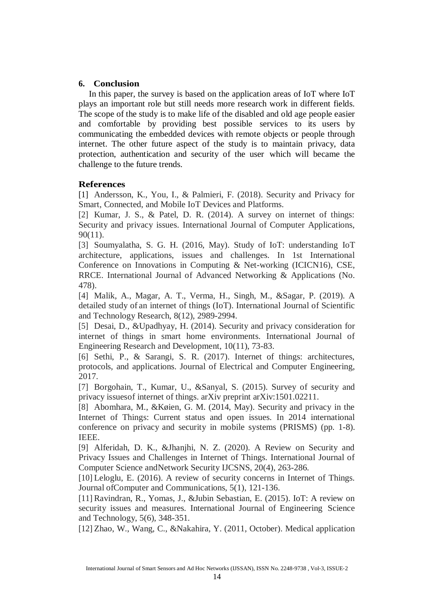#### **6. Conclusion**

In this paper, the survey is based on the application areas of IoT where IoT plays an important role but still needs more research work in different fields. The scope of the study is to make life of the disabled and old age people easier and comfortable by providing best possible services to its users by communicating the embedded devices with remote objects or people through internet. The other future aspect of the study is to maintain privacy, data protection, authentication and security of the user which will became the challenge to the future trends.

#### **References**

[1] Andersson, K., You, I., & Palmieri, F. (2018). Security and Privacy for Smart, Connected, and Mobile IoT Devices and Platforms.

[2] Kumar, J. S., & Patel, D. R. (2014). A survey on internet of things: Security and privacy issues. International Journal of Computer Applications, 90(11).

[3] Soumyalatha, S. G. H. (2016, May). Study of IoT: understanding IoT architecture, applications, issues and challenges. In 1st International Conference on Innovations in Computing & Net-working (ICICN16), CSE, RRCE. International Journal of Advanced Networking & Applications (No. 478).

[4] Malik, A., Magar, A. T., Verma, H., Singh, M., &Sagar, P. (2019). A detailed study of an internet of things (IoT). International Journal of Scientific and Technology Research, 8(12), 2989-2994.

[5] Desai, D., &Upadhyay, H. (2014). Security and privacy consideration for internet of things in smart home environments. International Journal of Engineering Research and Development, 10(11), 73-83.

[6] Sethi, P., & Sarangi, S. R. (2017). Internet of things: architectures, protocols, and applications. Journal of Electrical and Computer Engineering, 2017.

[7] Borgohain, T., Kumar, U., &Sanyal, S. (2015). Survey of security and privacy issuesof internet of things. arXiv preprint arXiv:1501.02211.

[8] Abomhara, M., &Køien, G. M. (2014, May). Security and privacy in the Internet of Things: Current status and open issues. In 2014 international conference on privacy and security in mobile systems (PRISMS) (pp. 1-8). IEEE.

[9] Alferidah, D. K., &Jhanjhi, N. Z. (2020). A Review on Security and Privacy Issues and Challenges in Internet of Things. International Journal of Computer Science andNetwork Security IJCSNS, 20(4), 263-286.

[10] Leloglu, E. (2016). A review of security concerns in Internet of Things. Journal ofComputer and Communications, 5(1), 121-136.

[11] Ravindran, R., Yomas, J., &Jubin Sebastian, E. (2015). IoT: A review on security issues and measures. International Journal of Engineering Science and Technology, 5(6), 348-351.

[12] Zhao, W., Wang, C., &Nakahira, Y. (2011, October). Medical application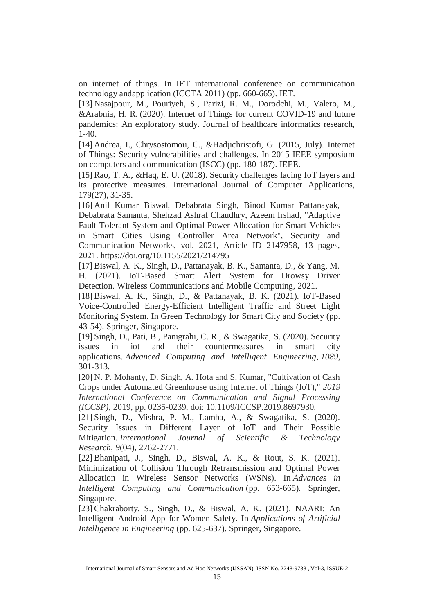on internet of things. In IET international conference on communication technology andapplication (ICCTA 2011) (pp. 660-665). IET.

[13] Nasajpour, M., Pouriyeh, S., Parizi, R. M., Dorodchi, M., Valero, M., &Arabnia, H. R. (2020). Internet of Things for current COVID-19 and future pandemics: An exploratory study. Journal of healthcare informatics research, 1-40.

[14] Andrea, I., Chrysostomou, C., &Hadjichristofi, G. (2015, July). Internet of Things: Security vulnerabilities and challenges. In 2015 IEEE symposium on computers and communication (ISCC) (pp. 180-187). IEEE.

[15] Rao, T. A., &Haq, E. U. (2018). Security challenges facing IoT layers and its protective measures. International Journal of Computer Applications, 179(27), 31-35.

[16] Anil Kumar Biswal, Debabrata Singh, Binod Kumar Pattanayak, Debabrata Samanta, Shehzad Ashraf Chaudhry, Azeem Irshad, "Adaptive Fault-Tolerant System and Optimal Power Allocation for Smart Vehicles in Smart Cities Using Controller Area Network", Security and Communication Networks, vol. 2021, Article ID 2147958, 13 pages, 2021. https://doi.org/10.1155/2021/214795

[17] Biswal, A. K., Singh, D., Pattanayak, B. K., Samanta, D., & Yang, M. H. (2021). IoT-Based Smart Alert System for Drowsy Driver Detection. Wireless Communications and Mobile Computing, 2021.

[18] Biswal, A. K., Singh, D., & Pattanayak, B. K. (2021). IoT-Based Voice-Controlled Energy-Efficient Intelligent Traffic and Street Light Monitoring System. In Green Technology for Smart City and Society (pp. 43-54). Springer, Singapore.

[19] Singh, D., Pati, B., Panigrahi, C. R., & Swagatika, S. (2020). Security issues in iot and their countermeasures in smart city applications. *Advanced Computing and Intelligent Engineering*, *1089*, 301-313.

[20] N. P. Mohanty, D. Singh, A. Hota and S. Kumar, "Cultivation of Cash Crops under Automated Greenhouse using Internet of Things (IoT)," *2019 International Conference on Communication and Signal Processing (ICCSP)*, 2019, pp. 0235-0239, doi: 10.1109/ICCSP.2019.8697930.

[21] Singh, D., Mishra, P. M., Lamba, A., & Swagatika, S. (2020). Security Issues in Different Layer of IoT and Their Possible Mitigation. *International Journal of Scientific & Technology Research*, *9*(04), 2762-2771.

[22] Bhanipati, J., Singh, D., Biswal, A. K., & Rout, S. K. (2021). Minimization of Collision Through Retransmission and Optimal Power Allocation in Wireless Sensor Networks (WSNs). In *Advances in Intelligent Computing and Communication* (pp. 653-665). Springer, Singapore.

[23] Chakraborty, S., Singh, D., & Biswal, A. K. (2021). NAARI: An Intelligent Android App for Women Safety. In *Applications of Artificial Intelligence in Engineering* (pp. 625-637). Springer, Singapore.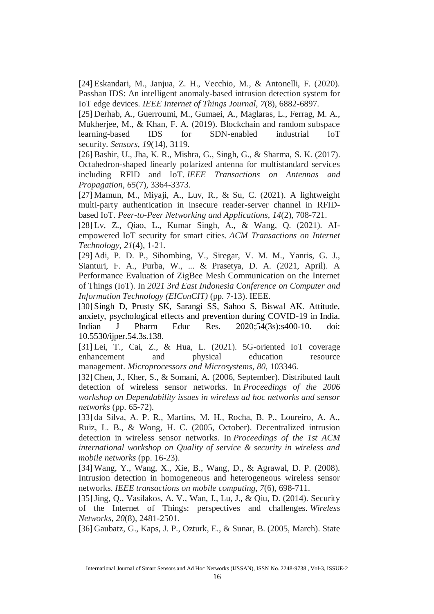[24] Eskandari, M., Janjua, Z. H., Vecchio, M., & Antonelli, F. (2020). Passban IDS: An intelligent anomaly-based intrusion detection system for IoT edge devices. *IEEE Internet of Things Journal*, *7*(8), 6882-6897.

[25] Derhab, A., Guerroumi, M., Gumaei, A., Maglaras, L., Ferrag, M. A., Mukherjee, M., & Khan, F. A. (2019). Blockchain and random subspace learning-based IDS for SDN-enabled industrial IoT security. *Sensors*, *19*(14), 3119.

[26] Bashir, U., Jha, K. R., Mishra, G., Singh, G., & Sharma, S. K. (2017). Octahedron-shaped linearly polarized antenna for multistandard services including RFID and IoT. *IEEE Transactions on Antennas and Propagation*, *65*(7), 3364-3373.

[27] Mamun, M., Miyaji, A., Luv, R., & Su, C. (2021). A lightweight multi-party authentication in insecure reader-server channel in RFIDbased IoT. *Peer-to-Peer Networking and Applications*, *14*(2), 708-721.

[28] Lv, Z., Qiao, L., Kumar Singh, A., & Wang, Q. (2021). AIempowered IoT security for smart cities. *ACM Transactions on Internet Technology*, *21*(4), 1-21.

[29] Adi, P. D. P., Sihombing, V., Siregar, V. M. M., Yanris, G. J., Sianturi, F. A., Purba, W., ... & Prasetya, D. A. (2021, April). A Performance Evaluation of ZigBee Mesh Communication on the Internet of Things (IoT). In *2021 3rd East Indonesia Conference on Computer and Information Technology (EIConCIT)* (pp. 7-13). IEEE.

[30] Singh D, Prusty SK, Sarangi SS, Sahoo S, Biswal AK. Attitude, anxiety, psychological effects and prevention during COVID-19 in India. Indian J Pharm Educ Res. 2020;54(3s):s400-10. doi: 10.5530/ijper.54.3s.138.

[31] Lei, T., Cai, Z., & Hua, L. (2021). 5G-oriented IoT coverage enhancement and physical education resource management. *Microprocessors and Microsystems*, *80*, 103346.

[32] Chen, J., Kher, S., & Somani, A. (2006, September). Distributed fault detection of wireless sensor networks. In *Proceedings of the 2006 workshop on Dependability issues in wireless ad hoc networks and sensor networks* (pp. 65-72).

[33] da Silva, A. P. R., Martins, M. H., Rocha, B. P., Loureiro, A. A., Ruiz, L. B., & Wong, H. C. (2005, October). Decentralized intrusion detection in wireless sensor networks. In *Proceedings of the 1st ACM international workshop on Quality of service & security in wireless and mobile networks* (pp. 16-23).

[34] Wang, Y., Wang, X., Xie, B., Wang, D., & Agrawal, D. P. (2008). Intrusion detection in homogeneous and heterogeneous wireless sensor networks. *IEEE transactions on mobile computing*, *7*(6), 698-711.

[35]Jing, Q., Vasilakos, A. V., Wan, J., Lu, J., & Qiu, D. (2014). Security of the Internet of Things: perspectives and challenges. *Wireless Networks*, *20*(8), 2481-2501.

[36] Gaubatz, G., Kaps, J. P., Ozturk, E., & Sunar, B. (2005, March). State